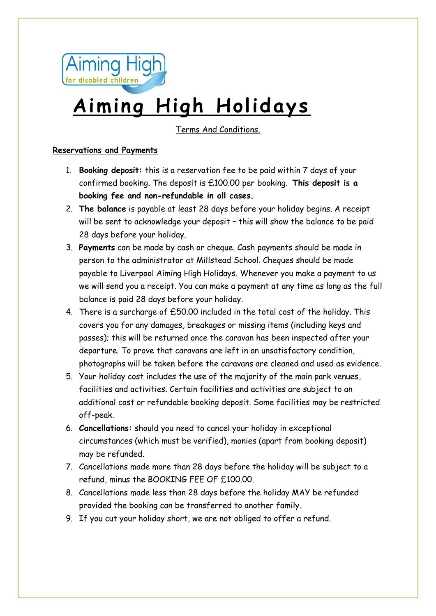

# **Aiming High Holidays**

Terms And Conditions.

## **Reservations and Payments**

- 1. **Booking deposit:** this is a reservation fee to be paid within 7 days of your confirmed booking. The deposit is £100.00 per booking. **This deposit is a booking fee and non-refundable in all cases.**
- 2. **The balance** is payable at least 28 days before your holiday begins. A receipt will be sent to acknowledge your deposit – this will show the balance to be paid 28 days before your holiday.
- 3. **Payments** can be made by cash or cheque. Cash payments should be made in person to the administrator at Millstead School. Cheques should be made payable to Liverpool Aiming High Holidays. Whenever you make a payment to us we will send you a receipt. You can make a payment at any time as long as the full balance is paid 28 days before your holiday.
- 4. There is a surcharge of £50.00 included in the total cost of the holiday. This covers you for any damages, breakages or missing items (including keys and passes); this will be returned once the caravan has been inspected after your departure. To prove that caravans are left in an unsatisfactory condition, photographs will be taken before the caravans are cleaned and used as evidence.
- 5. Your holiday cost includes the use of the majority of the main park venues, facilities and activities. Certain facilities and activities are subject to an additional cost or refundable booking deposit. Some facilities may be restricted off-peak.
- 6. **Cancellations:** should you need to cancel your holiday in exceptional circumstances (which must be verified), monies (apart from booking deposit) may be refunded.
- 7. Cancellations made more than 28 days before the holiday will be subject to a refund, minus the BOOKING FEE OF £100.00.
- 8. Cancellations made less than 28 days before the holiday MAY be refunded provided the booking can be transferred to another family.
- 9. If you cut your holiday short, we are not obliged to offer a refund.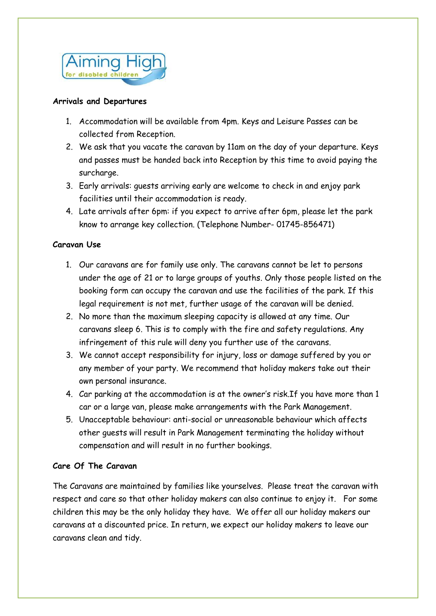

#### **Arrivals and Departures**

- 1. Accommodation will be available from 4pm. Keys and Leisure Passes can be collected from Reception.
- 2. We ask that you vacate the caravan by 11am on the day of your departure. Keys and passes must be handed back into Reception by this time to avoid paying the surcharge.
- 3. Early arrivals: guests arriving early are welcome to check in and enjoy park facilities until their accommodation is ready.
- 4. Late arrivals after 6pm: if you expect to arrive after 6pm, please let the park know to arrange key collection. (Telephone Number- 01745-856471)

#### **Caravan Use**

- 1. Our caravans are for family use only. The caravans cannot be let to persons under the age of 21 or to large groups of youths. Only those people listed on the booking form can occupy the caravan and use the facilities of the park. If this legal requirement is not met, further usage of the caravan will be denied.
- 2. No more than the maximum sleeping capacity is allowed at any time. Our caravans sleep 6. This is to comply with the fire and safety regulations. Any infringement of this rule will deny you further use of the caravans.
- 3. We cannot accept responsibility for injury, loss or damage suffered by you or any member of your party. We recommend that holiday makers take out their own personal insurance.
- 4. Car parking at the accommodation is at the owner's risk.If you have more than 1 car or a large van, please make arrangements with the Park Management.
- 5. Unacceptable behaviour: anti-social or unreasonable behaviour which affects other guests will result in Park Management terminating the holiday without compensation and will result in no further bookings.

#### **Care Of The Caravan**

The Caravans are maintained by families like yourselves. Please treat the caravan with respect and care so that other holiday makers can also continue to enjoy it. For some children this may be the only holiday they have. We offer all our holiday makers our caravans at a discounted price. In return, we expect our holiday makers to leave our caravans clean and tidy.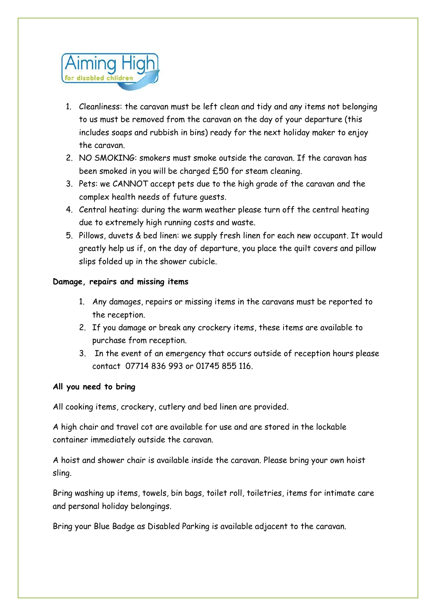

- 1. Cleanliness: the caravan must be left clean and tidy and any items not belonging to us must be removed from the caravan on the day of your departure (this includes soaps and rubbish in bins) ready for the next holiday maker to enjoy the caravan.
- 2. NO SMOKING: smokers must smoke outside the caravan. If the caravan has been smoked in you will be charged £50 for steam cleaning.
- 3. Pets: we CANNOT accept pets due to the high grade of the caravan and the complex health needs of future guests.
- 4. Central heating: during the warm weather please turn off the central heating due to extremely high running costs and waste.
- 5. Pillows, duvets & bed linen: we supply fresh linen for each new occupant. It would greatly help us if, on the day of departure, you place the quilt covers and pillow slips folded up in the shower cubicle.

## **Damage, repairs and missing items**

- 1. Any damages, repairs or missing items in the caravans must be reported to the reception.
- 2. If you damage or break any crockery items, these items are available to purchase from reception.
- 3. In the event of an emergency that occurs outside of reception hours please contact 07714 836 993 or 01745 855 116.

#### **All you need to bring**

All cooking items, crockery, cutlery and bed linen are provided.

A high chair and travel cot are available for use and are stored in the lockable container immediately outside the caravan.

A hoist and shower chair is available inside the caravan. Please bring your own hoist sling.

Bring washing up items, towels, bin bags, toilet roll, toiletries, items for intimate care and personal holiday belongings.

Bring your Blue Badge as Disabled Parking is available adjacent to the caravan.